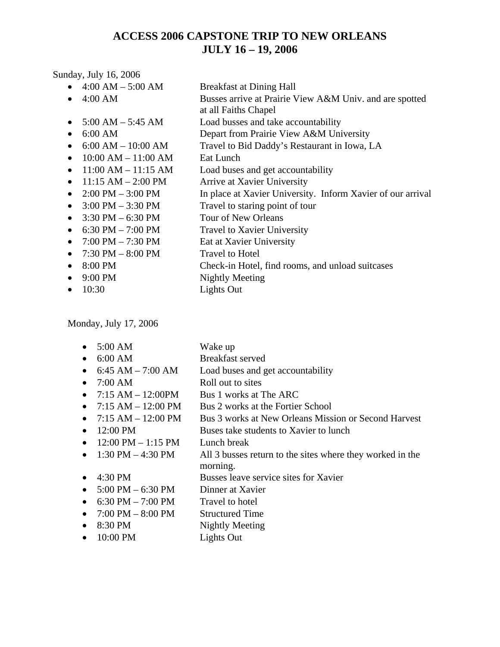## **ACCESS 2006 CAPSTONE TRIP TO NEW ORLEANS JULY 16 – 19, 2006**

Sunday, July 16, 2006

|           | $4:00 AM - 5:00 AM$                 | <b>Breakfast at Dining Hall</b>                             |
|-----------|-------------------------------------|-------------------------------------------------------------|
|           | $4:00$ AM                           | Busses arrive at Prairie View A&M Univ. and are spotted     |
|           |                                     | at all Faiths Chapel                                        |
|           | $5:00 AM - 5:45 AM$                 | Load busses and take accountability                         |
|           | 6:00 AM                             | Depart from Prairie View A&M University                     |
|           | $6:00 AM - 10:00 AM$                | Travel to Bid Daddy's Restaurant in Iowa, LA                |
| $\bullet$ | $10:00$ AM $- 11:00$ AM             | Eat Lunch                                                   |
|           | $11:00 AM - 11:15 AM$               | Load buses and get accountability                           |
|           | $11:15 AM - 2:00 PM$                | Arrive at Xavier University                                 |
|           | $2:00$ PM $-3:00$ PM                | In place at Xavier University. Inform Xavier of our arrival |
|           | $3:00$ PM $-3:30$ PM                | Travel to staring point of tour                             |
| $\bullet$ | $3:30$ PM $-6:30$ PM                | Tour of New Orleans                                         |
| $\bullet$ | 6:30 PM $-$ 7:00 PM                 | <b>Travel to Xavier University</b>                          |
| $\bullet$ | $7:00 \text{ PM} - 7:30 \text{ PM}$ | Eat at Xavier University                                    |
| $\bullet$ | $7:30$ PM $-8:00$ PM                | <b>Travel to Hotel</b>                                      |
| $\bullet$ | 8:00 PM                             | Check-in Hotel, find rooms, and unload suitcases            |
|           | 9:00 PM                             | Nightly Meeting                                             |
|           | 10:30                               | Lights Out                                                  |
|           |                                     |                                                             |

Monday, July 17, 2006

| $\bullet$ | 5:00 AM                              | Wake up                                                   |
|-----------|--------------------------------------|-----------------------------------------------------------|
| $\bullet$ | 6:00 AM                              | Breakfast served                                          |
| $\bullet$ | $6:45$ AM $- 7:00$ AM                | Load buses and get accountability                         |
| $\bullet$ | 7:00 AM                              | Roll out to sites                                         |
| $\bullet$ | $7:15$ AM $- 12:00$ PM               | Bus 1 works at The ARC                                    |
| $\bullet$ | $7:15 AM - 12:00 PM$                 | Bus 2 works at the Fortier School                         |
| $\bullet$ | $7:15 AM - 12:00 PM$                 | Bus 3 works at New Orleans Mission or Second Harvest      |
| $\bullet$ | 12:00 PM                             | Buses take students to Xavier to lunch                    |
| $\bullet$ | $12:00 \text{ PM} - 1:15 \text{ PM}$ | Lunch break                                               |
| $\bullet$ | 1:30 PM $-$ 4:30 PM                  | All 3 busses return to the sites where they worked in the |
|           |                                      | morning.                                                  |
| $\bullet$ | 4:30 PM                              | Busses leave service sites for Xavier                     |
| $\bullet$ | $5:00 \text{ PM} - 6:30 \text{ PM}$  | Dinner at Xavier                                          |
| $\bullet$ | 6:30 PM $- 7:00$ PM                  | Travel to hotel                                           |
| $\bullet$ | $7:00$ PM $-8:00$ PM                 | <b>Structured Time</b>                                    |
| $\bullet$ | 8:30 PM                              | Nightly Meeting                                           |
| $\bullet$ | 10:00 PM                             | Lights Out                                                |